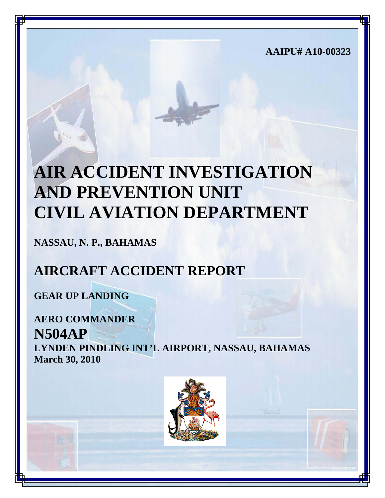**AAIPU# A10-00323**

# **AIR ACCIDENT INVESTIGATION AND PREVENTION UNIT CIVIL AVIATION DEPARTMENT**

**NASSAU, N. P., BAHAMAS**

# **AIRCRAFT ACCIDENT REPORT**

**GEAR UP LANDING**

**AERO COMMANDER N504AP LYNDEN PINDLING INT'L AIRPORT, NASSAU, BAHAMAS March 30, 2010**

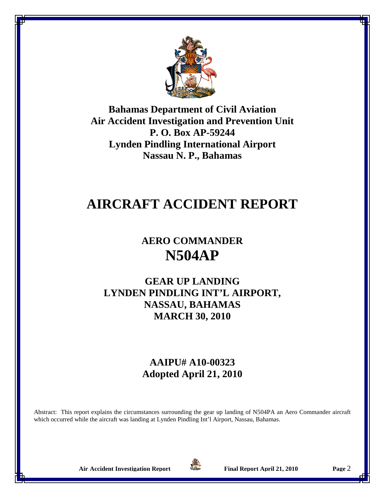

**Bahamas Department of Civil Aviation Air Accident Investigation and Prevention Unit P. O. Box AP-59244 Lynden Pindling International Airport Nassau N. P., Bahamas**

# **AIRCRAFT ACCIDENT REPORT**

# **AERO COMMANDER N504AP**

**GEAR UP LANDING LYNDEN PINDLING INT'L AIRPORT, NASSAU, BAHAMAS MARCH 30, 2010**

## **AAIPU# A10-00323 Adopted April 21, 2010**

Abstract: This report explains the circumstances surrounding the gear up landing of N504PA an Aero Commander aircraft which occurred while the aircraft was landing at Lynden Pindling Int'l Airport, Nassau, Bahamas.

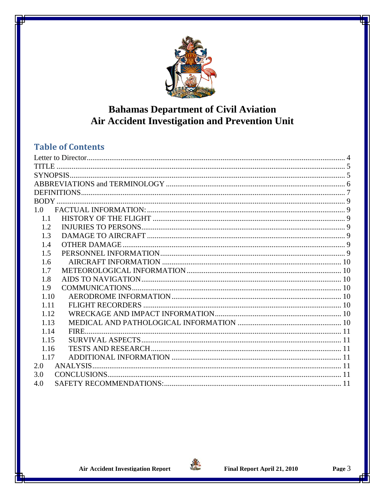

# **Bahamas Department of Civil Aviation** Air Accident Investigation and Prevention Unit

### **Table of Contents**

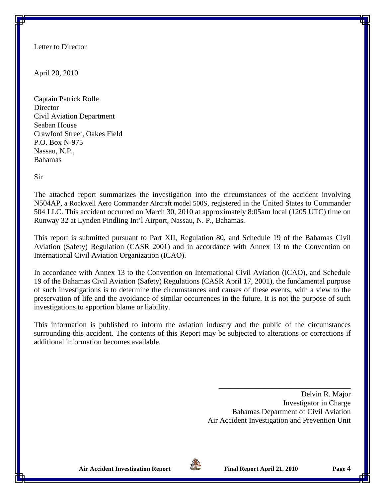<span id="page-3-0"></span>Letter to Director

April 20, 2010

Captain Patrick Rolle **Director** Civil Aviation Department Seaban House Crawford Street, Oakes Field P.O. Box N-975 Nassau, N.P., Bahamas

Sir

The attached report summarizes the investigation into the circumstances of the accident involving N504AP, a Rockwell Aero Commander Aircraft model 500S, registered in the United States to Commander 504 LLC. This accident occurred on March 30, 2010 at approximately 8:05am local (1205 UTC) time on Runway 32 at Lynden Pindling Int'l Airport, Nassau, N. P., Bahamas.

This report is submitted pursuant to Part XII, Regulation 80, and Schedule 19 of the Bahamas Civil Aviation (Safety) Regulation (CASR 2001) and in accordance with Annex 13 to the Convention on International Civil Aviation Organization (ICAO).

In accordance with Annex 13 to the Convention on International Civil Aviation (ICAO), and Schedule 19 of the Bahamas Civil Aviation (Safety) Regulations (CASR April 17, 2001), the fundamental purpose of such investigations is to determine the circumstances and causes of these events, with a view to the preservation of life and the avoidance of similar occurrences in the future. It is not the purpose of such investigations to apportion blame or liability.

This information is published to inform the aviation industry and the public of the circumstances surrounding this accident. The contents of this Report may be subjected to alterations or corrections if additional information becomes available.

> Delvin R. Major Investigator in Charge Bahamas Department of Civil Aviation Air Accident Investigation and Prevention Unit

\_\_\_\_\_\_\_\_\_\_\_\_\_\_\_\_\_\_\_\_\_\_\_\_\_\_\_\_\_\_\_\_\_\_\_

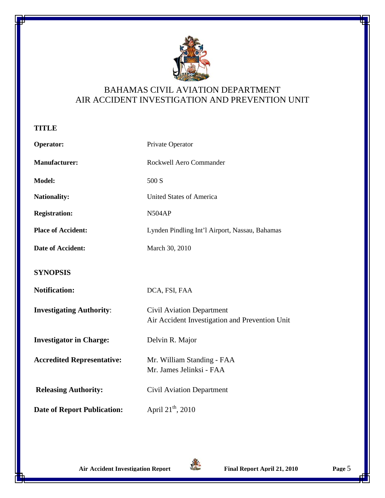

### BAHAMAS CIVIL AVIATION DEPARTMENT AIR ACCIDENT INVESTIGATION AND PREVENTION UNIT

<span id="page-4-0"></span>**TITLE**

<span id="page-4-1"></span>

| Operator:                          | Private Operator                                                            |
|------------------------------------|-----------------------------------------------------------------------------|
| <b>Manufacturer:</b>               | Rockwell Aero Commander                                                     |
| <b>Model:</b>                      | 500 S                                                                       |
| <b>Nationality:</b>                | <b>United States of America</b>                                             |
| <b>Registration:</b>               | <b>N504AP</b>                                                               |
| <b>Place of Accident:</b>          | Lynden Pindling Int'l Airport, Nassau, Bahamas                              |
| <b>Date of Accident:</b>           | March 30, 2010                                                              |
| <b>SYNOPSIS</b>                    |                                                                             |
| <b>Notification:</b>               | DCA, FSI, FAA                                                               |
| <b>Investigating Authority:</b>    | Civil Aviation Department<br>Air Accident Investigation and Prevention Unit |
| <b>Investigator in Charge:</b>     | Delvin R. Major                                                             |
| <b>Accredited Representative:</b>  | Mr. William Standing - FAA<br>Mr. James Jelinksi - FAA                      |
| <b>Releasing Authority:</b>        | <b>Civil Aviation Department</b>                                            |
| <b>Date of Report Publication:</b> | April 21 <sup>th</sup> , 2010                                               |

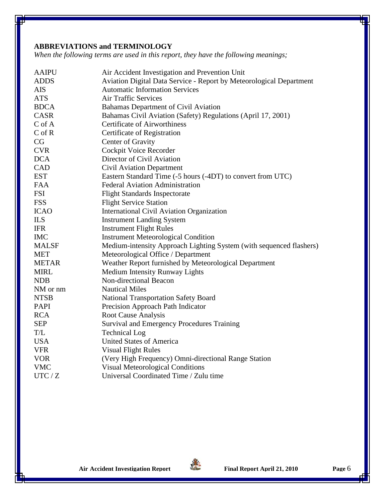### <span id="page-5-0"></span>**ABBREVIATIONS and TERMINOLOGY**

*When the following terms are used in this report, they have the following meanings;*

| <b>AAIPU</b> | Air Accident Investigation and Prevention Unit                      |
|--------------|---------------------------------------------------------------------|
| <b>ADDS</b>  | Aviation Digital Data Service - Report by Meteorological Department |
| <b>AIS</b>   | <b>Automatic Information Services</b>                               |
| <b>ATS</b>   | <b>Air Traffic Services</b>                                         |
| <b>BDCA</b>  | Bahamas Department of Civil Aviation                                |
| <b>CASR</b>  | Bahamas Civil Aviation (Safety) Regulations (April 17, 2001)        |
| $C$ of $A$   | <b>Certificate of Airworthiness</b>                                 |
| $C$ of $R$   | Certificate of Registration                                         |
| CG           | Center of Gravity                                                   |
| <b>CVR</b>   | Cockpit Voice Recorder                                              |
| <b>DCA</b>   | Director of Civil Aviation                                          |
| CAD          | <b>Civil Aviation Department</b>                                    |
| <b>EST</b>   | Eastern Standard Time (-5 hours (-4DT) to convert from UTC)         |
| <b>FAA</b>   | <b>Federal Aviation Administration</b>                              |
| <b>FSI</b>   | <b>Flight Standards Inspectorate</b>                                |
| <b>FSS</b>   | <b>Flight Service Station</b>                                       |
| <b>ICAO</b>  | <b>International Civil Aviation Organization</b>                    |
| <b>ILS</b>   | <b>Instrument Landing System</b>                                    |
| <b>IFR</b>   | <b>Instrument Flight Rules</b>                                      |
| <b>IMC</b>   | <b>Instrument Meteorological Condition</b>                          |
| <b>MALSF</b> | Medium-intensity Approach Lighting System (with sequenced flashers) |
| <b>MET</b>   | Meteorological Office / Department                                  |
| <b>METAR</b> | Weather Report furnished by Meteorological Department               |
| <b>MIRL</b>  | Medium Intensity Runway Lights                                      |
| <b>NDB</b>   | Non-directional Beacon                                              |
| NM or nm     | <b>Nautical Miles</b>                                               |
| <b>NTSB</b>  | <b>National Transportation Safety Board</b>                         |
| <b>PAPI</b>  | Precision Approach Path Indicator                                   |
| <b>RCA</b>   | <b>Root Cause Analysis</b>                                          |
| <b>SEP</b>   | Survival and Emergency Procedures Training                          |
| T/L          | <b>Technical Log</b>                                                |
| <b>USA</b>   | <b>United States of America</b>                                     |
| <b>VFR</b>   | <b>Visual Flight Rules</b>                                          |
| <b>VOR</b>   | (Very High Frequency) Omni-directional Range Station                |
| <b>VMC</b>   | <b>Visual Meteorological Conditions</b>                             |
| UTC/Z        | Universal Coordinated Time / Zulu time                              |

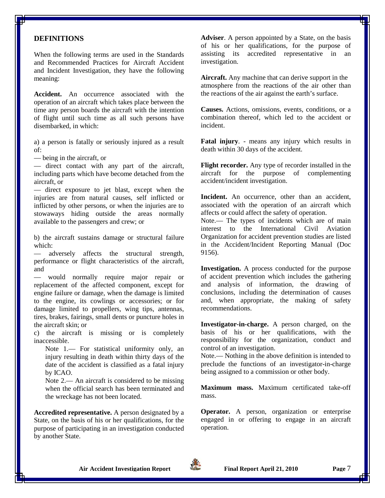#### <span id="page-6-0"></span>**DEFINITIONS**

When the following terms are used in the Standards and Recommended Practices for Aircraft Accident and Incident Investigation, they have the following meaning:

**Accident.** An occurrence associated with the operation of an aircraft which takes place between the time any person boards the aircraft with the intention of flight until such time as all such persons have disembarked, in which:

a) a person is fatally or seriously injured as a result of:

— being in the aircraft, or

— direct contact with any part of the aircraft, including parts which have become detached from the aircraft, or

— direct exposure to jet blast, except when the injuries are from natural causes, self inflicted or inflicted by other persons, or when the injuries are to stowaways hiding outside the areas normally available to the passengers and crew; or

b) the aircraft sustains damage or structural failure which:

— adversely affects the structural strength, performance or flight characteristics of the aircraft, and

— would normally require major repair or replacement of the affected component, except for engine failure or damage, when the damage is limited to the engine, its cowlings or accessories; or for damage limited to propellers, wing tips, antennas, tires, brakes, fairings, small dents or puncture holes in the aircraft skin; or

c) the aircraft is missing or is completely inaccessible.

Note 1.— For statistical uniformity only, an injury resulting in death within thirty days of the date of the accident is classified as a fatal injury by ICAO.

Note 2.— An aircraft is considered to be missing when the official search has been terminated and the wreckage has not been located.

**Accredited representative.** A person designated by a State, on the basis of his or her qualifications, for the purpose of participating in an investigation conducted by another State.

**Adviser**. A person appointed by a State, on the basis of his or her qualifications, for the purpose of assisting its accredited representative in an investigation.

**Aircraft.** Any machine that can derive support in the atmosphere from the reactions of the air other than the reactions of the air against the earth's surface.

**Causes.** Actions, omissions, events, conditions, or a combination thereof, which led to the accident or incident.

**Fatal injury**. - means any injury which results in death within 30 days of the accident.

**Flight recorder.** Any type of recorder installed in the aircraft for the purpose of complementing accident/incident investigation.

Incident. An occurrence, other than an accident, associated with the operation of an aircraft which affects or could affect the safety of operation.

Note.— The types of incidents which are of main interest to the International Civil Aviation Organization for accident prevention studies are listed in the Accident/Incident Reporting Manual (Doc 9156).

**Investigation.** A process conducted for the purpose of accident prevention which includes the gathering and analysis of information, the drawing of conclusions, including the determination of causes and, when appropriate, the making of safety recommendations.

**Investigator-in-charge.** A person charged, on the basis of his or her qualifications, with the responsibility for the organization, conduct and control of an investigation.

Note.— Nothing in the above definition is intended to preclude the functions of an investigator-in-charge being assigned to a commission or other body.

**Maximum mass.** Maximum certificated take-off mass.

**Operator.** A person, organization or enterprise engaged in or offering to engage in an aircraft operation.

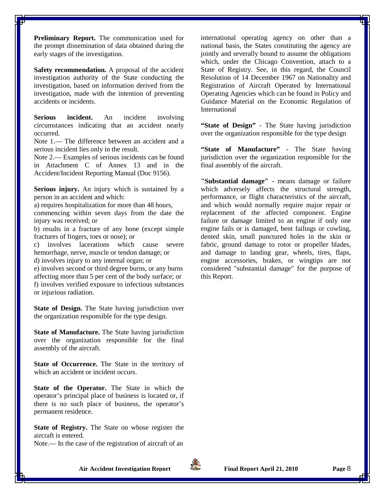**Preliminary Report.** The communication used for the prompt dissemination of data obtained during the early stages of the investigation.

**Safety recommendation.** A proposal of the accident investigation authority of the State conducting the investigation, based on information derived from the investigation, made with the intention of preventing accidents or incidents.

**Serious incident.** An incident involving circumstances indicating that an accident nearly occurred.

Note 1.— The difference between an accident and a serious incident lies only in the result.

Note 2.— Examples of serious incidents can be found in Attachment C of Annex 13 and in the Accident/Incident Reporting Manual (Doc 9156).

**Serious injury.** An injury which is sustained by a person in an accident and which:

a) requires hospitalization for more than 48 hours,

commencing within seven days from the date the injury was received; or

b) results in a fracture of any bone (except simple fractures of fingers, toes or nose); or

c) involves lacerations which cause severe hemorrhage, nerve, muscle or tendon damage; or d) involves injury to any internal organ; or

e) involves second or third degree burns, or any burns affecting more than 5 per cent of the body surface; or f) involves verified exposure to infectious substances or injurious radiation.

**State of Design.** The State having jurisdiction over the organization responsible for the type design.

**State of Manufacture.** The State having jurisdiction over the organization responsible for the final assembly of the aircraft.

**State of Occurrence.** The State in the territory of which an accident or incident occurs.

**State of the Operator.** The State in which the operator's principal place of business is located or, if there is no such place of business, the operator's permanent residence.

**State of Registry.** The State on whose register the aircraft is entered.

Note.— In the case of the registration of aircraft of an

international operating agency on other than a national basis, the States constituting the agency are jointly and severally bound to assume the obligations which, under the Chicago Convention, attach to a State of Registry. See, in this regard, the Council Resolution of 14 December 1967 on Nationality and Registration of Aircraft Operated by International Operating Agencies which can be found in Policy and Guidance Material on the Economic Regulation of International

**"State of Design"** - The State having jurisdiction over the organization responsible for the type design

**"State of Manufacture"** - The State having jurisdiction over the organization responsible for the final assembly of the aircraft.

**"Substantial damage"** - means damage or failure which adversely affects the structural strength, performance, or flight characteristics of the aircraft, and which would normally require major repair or replacement of the affected component. Engine failure or damage limited to an engine if only one engine fails or is damaged, bent failings or cowling, dented skin, small punctured holes in the skin or fabric, ground damage to rotor or propeller blades, and damage to landing gear, wheels, tires, flaps, engine accessories, brakes, or wingtips are not considered "substantial damage" for the purpose of this Report.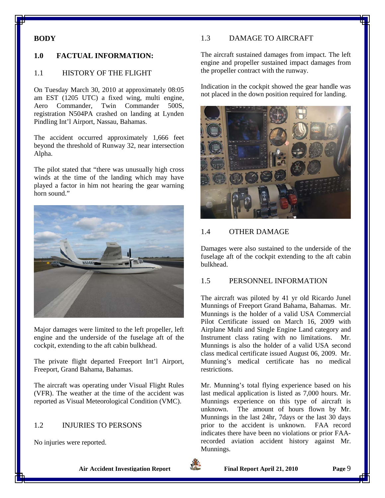#### <span id="page-8-0"></span>**BODY**

#### <span id="page-8-1"></span>**1.0 FACTUAL INFORMATION:**

#### <span id="page-8-2"></span>1.1 **HISTORY OF THE FLIGHT**

On Tuesday March 30, 2010 at approximately 08:05 am EST (1205 UTC) a fixed wing, multi engine, Aero Commander, Twin Commander 500S, registration N504PA crashed on landing at Lynden Pindling Int'l Airport, Nassau, Bahamas.

The accident occurred approximately 1,666 feet beyond the threshold of Runway 32, near intersection Alpha.

The pilot stated that "there was unusually high cross winds at the time of the landing which may have played a factor in him not hearing the gear warning horn sound."



Major damages were limited to the left propeller, left engine and the underside of the fuselage aft of the cockpit, extending to the aft cabin bulkhead.

The private flight departed Freeport Int'l Airport, Freeport, Grand Bahama, Bahamas.

The aircraft was operating under Visual Flight Rules (VFR). The weather at the time of the accident was reported as Visual Meteorological Condition (VMC).

#### <span id="page-8-3"></span>1.2 INJURIES TO PERSONS

No injuries were reported.

#### <span id="page-8-4"></span>1.3 DAMAGE TO AIRCRAFT

The aircraft sustained damages from impact. The left engine and propeller sustained impact damages from the propeller contract with the runway.

Indication in the cockpit showed the gear handle was not placed in the down position required for landing.



#### <span id="page-8-5"></span>1.4 OTHER DAMAGE

Damages were also sustained to the underside of the fuselage aft of the cockpit extending to the aft cabin bulkhead.

#### <span id="page-8-6"></span>1.5 PERSONNEL INFORMATION

The aircraft was piloted by 41 yr old Ricardo Junel Munnings of Freeport Grand Bahama, Bahamas. Mr. Munnings is the holder of a valid USA Commercial Pilot Certificate issued on March 16, 2009 with Airplane Multi and Single Engine Land category and Instrument class rating with no limitations. Mr. Munnings is also the holder of a valid USA second class medical certificate issued August 06, 2009. Mr. Munning's medical certificate has no medical restrictions.

Mr. Munning's total flying experience based on his last medical application is listed as 7,000 hours. Mr. Munnings experience on this type of aircraft is unknown. The amount of hours flown by Mr. Munnings in the last 24hr, 7days or the last 30 days prior to the accident is unknown. FAA record indicates there have been no violations or prior FAArecorded aviation accident history against Mr. Munnings.

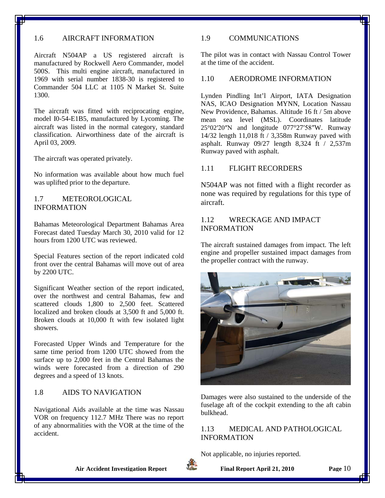#### <span id="page-9-0"></span>1.6 AIRCRAFT INFORMATION

Aircraft N504AP a US registered aircraft is manufactured by Rockwell Aero Commander, model 500S. This multi engine aircraft, manufactured in 1969 with serial number 1838-30 is registered to Commander 504 LLC at 1105 N Market St. Suite 1300.

The aircraft was fitted with reciprocating engine, model I0-54-E1B5, manufactured by Lycoming. The aircraft was listed in the normal category, standard classification. Airworthiness date of the aircraft is April 03, 2009.

The aircraft was operated privately.

No information was available about how much fuel was uplifted prior to the departure.

#### <span id="page-9-1"></span>1.7 METEOROLOGICAL INFORMATION

Bahamas Meteorological Department Bahamas Area Forecast dated Tuesday March 30, 2010 valid for 12 hours from 1200 UTC was reviewed.

Special Features section of the report indicated cold front over the central Bahamas will move out of area by 2200 UTC.

Significant Weather section of the report indicated, over the northwest and central Bahamas, few and scattered clouds 1,800 to 2,500 feet. Scattered localized and broken clouds at 3,500 ft and 5,000 ft. Broken clouds at 10,000 ft with few isolated light showers.

Forecasted Upper Winds and Temperature for the same time period from 1200 UTC showed from the surface up to 2,000 feet in the Central Bahamas the winds were forecasted from a direction of 290 degrees and a speed of 13 knots.

#### <span id="page-9-2"></span>1.8 AIDS TO NAVIGATION

Navigational Aids available at the time was Nassau VOR on frequency 112.7 MHz There was no report of any abnormalities with the VOR at the time of the accident.

#### <span id="page-9-3"></span>1.9 COMMUNICATIONS

The pilot was in contact with Nassau Control Tower at the time of the accident.

#### <span id="page-9-4"></span>1.10 AERODROME INFORMATION

Lynden Pindling Int'l Airport, IATA Designation NAS, ICAO Designation MYNN, Location Nassau New Providence, Bahamas. Altitude 16 ft / 5m above mean sea level (MSL). Coordinates latitude [25°02](http://toolserver.org/~geohack/geohack.php?pagename=Lynden_Pindling_International_Airport¶ms=25_02_20_N_077_27_58_W_type:airport_region:BS)′20″N and longitude 077°27′58″W. Runway 14/32 length 11,018 ft / 3,358m Runway paved with asphalt. Runway 09/27 length 8,324 ft / 2,537m Runway paved with asphalt.

#### <span id="page-9-5"></span>1.11 FLIGHT RECORDERS

N504AP was not fitted with a flight recorder as none was required by regulations for this type of aircraft.

#### <span id="page-9-6"></span>1.12 WRECKAGE AND IMPACT INFORMATION

The aircraft sustained damages from impact. The left engine and propeller sustained impact damages from the propeller contract with the runway.



Damages were also sustained to the underside of the fuselage aft of the cockpit extending to the aft cabin bulkhead.

<span id="page-9-7"></span>1.13 MEDICAL AND PATHOLOGICAL INFORMATION

Not applicable, no injuries reported.

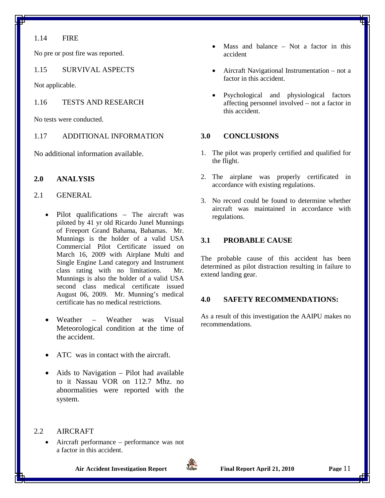#### <span id="page-10-0"></span>1.14 FIRE

No pre or post fire was reported.

<span id="page-10-1"></span>1.15 SURVIVAL ASPECTS

Not applicable.

<span id="page-10-2"></span>1.16 TESTS AND RESEARCH

No tests were conducted.

<span id="page-10-3"></span>1.17 ADDITIONAL INFORMATION

No additional information available.

#### <span id="page-10-4"></span>**2.0 ANALYSIS**

- 2.1 GENERAL
	- Pilot qualifications The aircraft was piloted by 41 yr old Ricardo Junel Munnings of Freeport Grand Bahama, Bahamas. Mr. Munnings is the holder of a valid USA Commercial Pilot Certificate issued on March 16, 2009 with Airplane Multi and Single Engine Land category and Instrument class rating with no limitations. Mr. Munnings is also the holder of a valid USA second class medical certificate issued August 06, 2009. Mr. Munning's medical certificate has no medical restrictions.
	- Weather Weather was Visual Meteorological condition at the time of the accident.
	- ATC was in contact with the aircraft.
	- Aids to Navigation Pilot had available to it Nassau VOR on 112.7 Mhz. no abnormalities were reported with the system.
- Mass and balance  $-$  Not a factor in this accident
- Aircraft Navigational Instrumentation not a factor in this accident.
- Psychological and physiological factors affecting personnel involved – not a factor in this accident.

#### <span id="page-10-5"></span>**3.0 CONCLUSIONS**

- 1. The pilot was properly certified and qualified for the flight.
- 2. The airplane was properly certificated in accordance with existing regulations.
- 3. No record could be found to determine whether aircraft was maintained in accordance with regulations.

#### **3.1 PROBABLE CAUSE**

The probable cause of this accident has been determined as pilot distraction resulting in failure to extend landing gear.

#### <span id="page-10-6"></span>**4.0 SAFETY RECOMMENDATIONS:**

As a result of this investigation the AAIPU makes no recommendations.

#### 2.2 AIRCRAFT

• Aircraft performance – performance was not a factor in this accident.